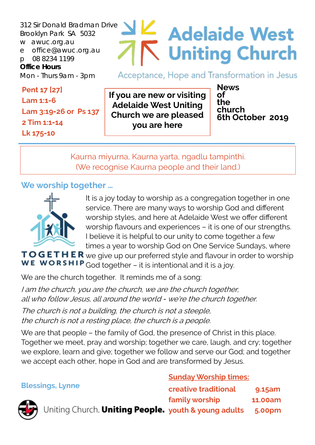312 Sir Donald Bradman Drive Brooklyn Park SA 5032 w awuc.org.au e office@awuc.org.au p 08 8234 1199 **Office Hours**  Mon - Thurs 9am - 3pm

#### **Pent 17 [27] Lam 1:1-6 Lam 3:19-26 or Ps 137 2 Tim 1:1-14 Lk 175-10**

# **Adelaide West Uniting Church**

Acceptance, Hope and Transformation in Jesus

**If you are new or visiting Adelaide West Uniting Church we are pleased you are here**

**News of the church 6th October 2019**

Kaurna miyurna, Kaurna yarta, ngadlu tampinthi. (We recognise Kaurna people and their land.)

### **We worship together …**



It is a joy today to worship as a congregation together in one service. There are many ways to worship God and different worship styles, and here at Adelaide West we offer different worship flavours and experiences – it is one of our strengths. I believe it is helpful to our unity to come together a few times a year to worship God on One Service Sundays, where

TOGETHER we give up our preferred style and flavour in order to worship **WE WORSHIP** God together – it is intentional and it is a joy.

We are the church together. It reminds me of a song:

I am the church, you are the church, we are the church together, all who follow Jesus, all around the world - we're the church together.

The church is not a building, the church is not a steeple, the church is not a resting place, the church is a people.

We are that people – the family of God, the presence of Christ in this place. Together we meet, pray and worship; together we care, laugh, and cry; together we explore, learn and give; together we follow and serve our God; and together we accept each other, hope in God and are transformed by Jesus.

**Blessings, Lynne** 

#### **Sunday Worship times:**

| essings, Lynne                                            | <b>creative traditional</b> | 9.15am  |
|-----------------------------------------------------------|-----------------------------|---------|
|                                                           | family worship              | 11.00am |
| John Uniting Church. Uniting People. youth & young adults |                             | 5.00pm  |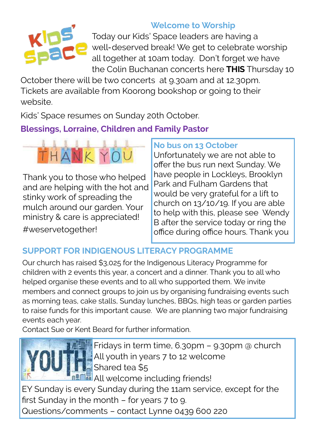

## **Welcome to Worship**

Today our Kids' Space leaders are having a well-deserved break! We get to celebrate worship all together at 10am today. Don't forget we have the Colin Buchanan concerts here **THIS** Thursday 10

October there will be two concerts at 9.30am and at 12.30pm. Tickets are available from Koorong bookshop or going to their website.

Kids' Space resumes on Sunday 20th October.

## **Blessings, Lorraine, Children and Family Pastor**



Thank you to those who helped and are helping with the hot and stinky work of spreading the mulch around our garden. Your ministry & care is appreciated!

#weservetogether!

### **No bus on 13 October**

Unfortunately we are not able to offer the bus run next Sunday. We have people in Lockleys, Brooklyn Park and Fulham Gardens that would be very grateful for a lift to church on 13/10/19. If you are able to help with this, please see Wendy B after the service today or ring the office during office hours. Thank you

## **SUPPORT FOR INDIGENOUS LITERACY PROGRAMME**

Our church has raised \$3,025 for the Indigenous Literacy Programme for children with 2 events this year, a concert and a dinner. Thank you to all who helped organise these events and to all who supported them. We invite members and connect groups to join us by organising fundraising events such as morning teas, cake stalls, Sunday lunches, BBQs, high teas or garden parties to raise funds for this important cause. We are planning two major fundraising events each year.

Contact Sue or Kent Beard for further information.



**Fridays in term time, 6.30pm - 9.30pm @ church** All youth in years 7 to 12 welcome Shared tea \$5

**All** welcome including friends!

EY Sunday is every Sunday during the 11am service, except for the first Sunday in the month – for years 7 to 9.

Questions/comments – contact Lynne 0439 600 220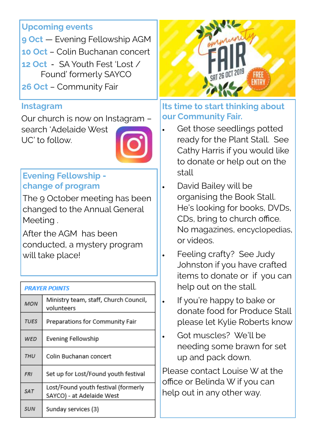#### **Upcoming events**

**9 Oct** — Evening Fellowship AGM

- **10 Oct**  Colin Buchanan concert
- **12 Oct**  SA Youth Fest 'Lost / Found' formerly SAYCO
- **26 Oct**  Community Fair

#### **Instagram**

Our church is now on Instagram – search 'Adelaide West UC' to follow.



## **Evening Fellowship change of program**

The 9 October meeting has been changed to the Annual General Meeting .

After the AGM has been conducted, a mystery program will take place!

| <b>PRAYER POINTS</b> |                                                                  |  |
|----------------------|------------------------------------------------------------------|--|
| <b>MON</b>           | Ministry team, staff, Church Council,<br>volunteers              |  |
| <b>TUES</b>          | Preparations for Community Fair                                  |  |
| WED                  | Evening Fellowship                                               |  |
| THU                  | Colin Buchanan concert                                           |  |
| <b>FRI</b>           | Set up for Lost/Found youth festival                             |  |
| <b>SAT</b>           | Lost/Found youth festival (formerly<br>SAYCO) - at Adelaide West |  |
| <b>SUN</b>           | Sunday services (3)                                              |  |



#### **Its time to start thinking about our Community Fair.**

- Get those seedlings potted ready for the Plant Stall. See Cathy Harris if you would like to donate or help out on the stall
- David Bailey will be organising the Book Stall. He's looking for books, DVDs, CDs, bring to church office. No magazines, encyclopedias, or videos.
	- Feeling crafty? See Judy Johnston if you have crafted items to donate or if you can help out on the stall.
- . If you're happy to bake or donate food for Produce Stall please let Kylie Roberts know
- Got muscles? We'll be needing some brawn for set up and pack down.

Please contact Louise W at the office or Belinda W if you can help out in any other way.